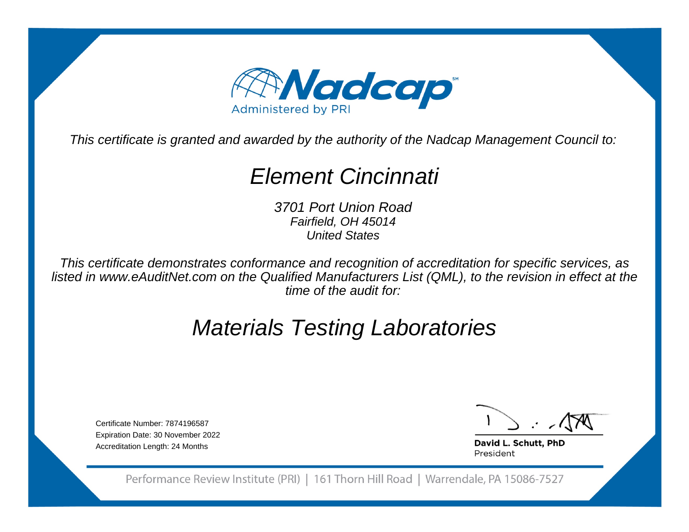

This certificate is granted and awarded by the authority of the Nadcap Management Council to:

# Element Cincinnati

3701 Port Union RoadFairfield, OH 45014United States

This certificate demonstrates conformance and recognition of accreditation for specific services, as listed in www.eAuditNet.com on the Qualified Manufacturers List (QML), to the revision in effect at thetime of the audit for:

# Materials Testing Laboratories

Certificate Number: 7874196587 Expiration Date: 30 November 2022Accreditation Length: 24 Months

David L. Schutt, PhD President

Performance Review Institute (PRI) | 161 Thorn Hill Road | Warrendale, PA 15086-7527